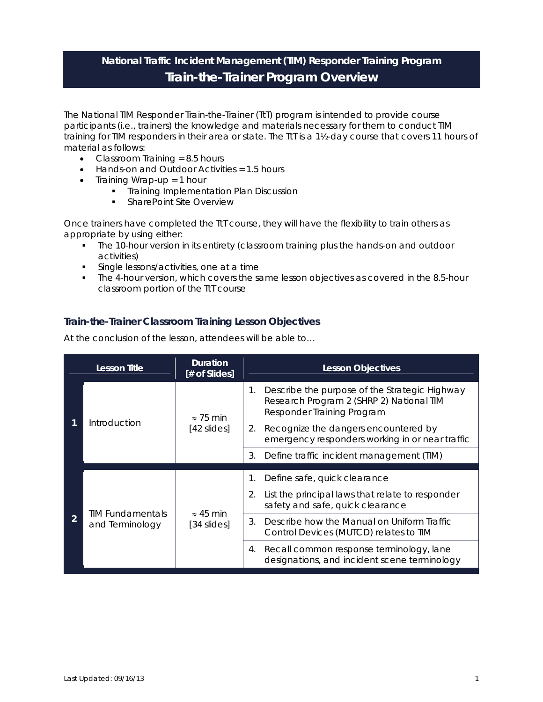## **National Traffic Incident Management (TIM) Responder Training Program Train-the-Trainer Program Overview**

The National TIM Responder Train-the-Trainer (TtT) program is intended to provide course participants (i.e., trainers) the knowledge and materials necessary for them to conduct TIM training for TIM responders in their area or state. The TtT is a 1½-day course that covers 11 hours of material as follows:

- Classroom Training  $= 8.5$  hours
- Hands-on and Outdoor Activities = 1.5 hours
- $\bullet$  Training Wrap-up = 1 hour
	- **Training Implementation Plan Discussion**
	- **SharePoint Site Overview**

Once trainers have completed the TtT course, they will have the flexibility to train others as appropriate by using either:

- The 10-hour version in its entirety (classroom training plus the hands-on and outdoor activities)
- **Single lessons/activities, one at a time**
- The 4-hour version, which covers the same lesson objectives as covered in the 8.5-hour classroom portion of the TtT course

## **Train-the-Trainer Classroom Training Lesson Objectives**

At the conclusion of the lesson, attendees will be able to…

| <b>Lesson Title</b>                        | <b>Duration</b><br>[# of Slides]  | <b>Lesson Objectives</b>                                                                                                      |
|--------------------------------------------|-----------------------------------|-------------------------------------------------------------------------------------------------------------------------------|
| Introduction                               | $\approx$ 75 min<br>[42 slides]   | Describe the purpose of the Strategic Highway<br>1.<br>Research Program 2 (SHRP 2) National TIM<br>Responder Training Program |
|                                            |                                   | Recognize the dangers encountered by<br>2.<br>emergency responders working in or near traffic                                 |
|                                            |                                   | Define traffic incident management (TIM)<br>3.                                                                                |
| <b>TIM Fundamentals</b><br>and Terminology | $\approx$ 45 min<br>$[34$ slides] | Define safe, quick clearance<br>1.                                                                                            |
|                                            |                                   | List the principal laws that relate to responder<br>2.<br>safety and safe, quick clearance                                    |
|                                            |                                   | Describe how the Manual on Uniform Traffic<br>3.<br>Control Devices (MUTCD) relates to TIM                                    |
|                                            |                                   | Recall common response terminology, lane<br>4.<br>designations, and incident scene terminology                                |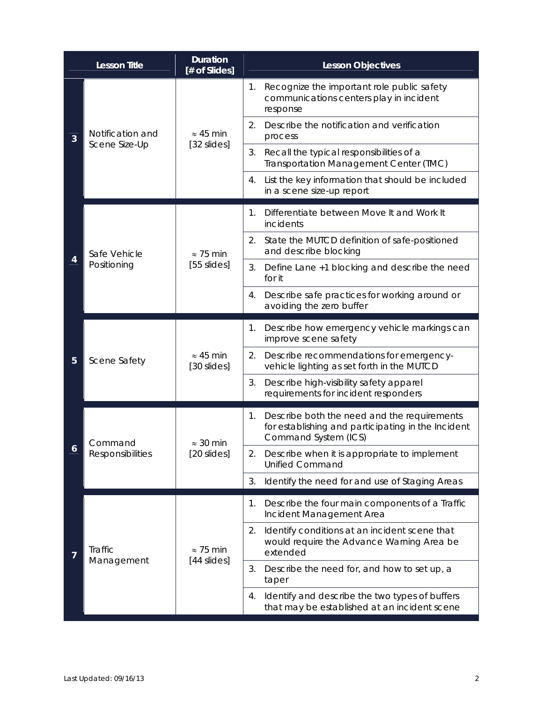|   | <b>Lesson Title</b>                | <b>Duration</b><br>[# of Slides]  | <b>Lesson Objectives</b>                                                                                                        |
|---|------------------------------------|-----------------------------------|---------------------------------------------------------------------------------------------------------------------------------|
| 3 | Notification and<br>Scene Size-Up  | $\approx$ 45 min<br>[32 slides]   | Recognize the important role public safety<br>1.<br>communications centers play in incident<br>response                         |
|   |                                    |                                   | Describe the notification and verification<br>2.<br>process                                                                     |
|   |                                    |                                   | 3.<br>Recall the typical responsibilities of a<br>Transportation Management Center (TMC)                                        |
|   |                                    |                                   | List the key information that should be included<br>4.<br>in a scene size-up report                                             |
| 4 | Safe Vehicle<br>Positioning        | $\approx$ 75 min<br>$[55$ slides] | Differentiate between Move It and Work It<br>1.<br>incidents                                                                    |
|   |                                    |                                   | State the MUTCD definition of safe-positioned<br>2.<br>and describe blocking                                                    |
|   |                                    |                                   | 3.<br>Define Lane +1 blocking and describe the need<br>for it                                                                   |
|   |                                    |                                   | Describe safe practices for working around or<br>4.<br>avoiding the zero buffer                                                 |
| 5 | Scene Safety                       | $\approx 45$ min<br>[30 slides]   | Describe how emergency vehicle markings can<br>1.<br>improve scene safety                                                       |
|   |                                    |                                   | 2.<br>Describe recommendations for emergency-<br>vehicle lighting as set forth in the MUTCD                                     |
|   |                                    |                                   | 3.<br>Describe high-visibility safety apparel<br>requirements for incident responders                                           |
|   | Command<br><b>Responsibilities</b> | $\approx$ 30 min<br>[20 slides]   | Describe both the need and the requirements<br>1.<br>for establishing and participating in the Incident<br>Command System (ICS) |
|   |                                    |                                   | Describe when it is appropriate to implement<br>2.<br><b>Unified Command</b>                                                    |
|   |                                    |                                   | Identify the need for and use of Staging Areas<br>3.                                                                            |
| 7 | Traffic<br>Management              | $\approx$ 75 min<br>[44 slides]   | Describe the four main components of a Traffic<br>1.<br>Incident Management Area                                                |
|   |                                    |                                   | 2.<br>Identify conditions at an incident scene that<br>would require the Advance Warning Area be<br>extended                    |
|   |                                    |                                   | Describe the need for, and how to set up, a<br>3.<br>taper                                                                      |
|   |                                    |                                   | Identify and describe the two types of buffers<br>4.<br>that may be established at an incident scene                            |